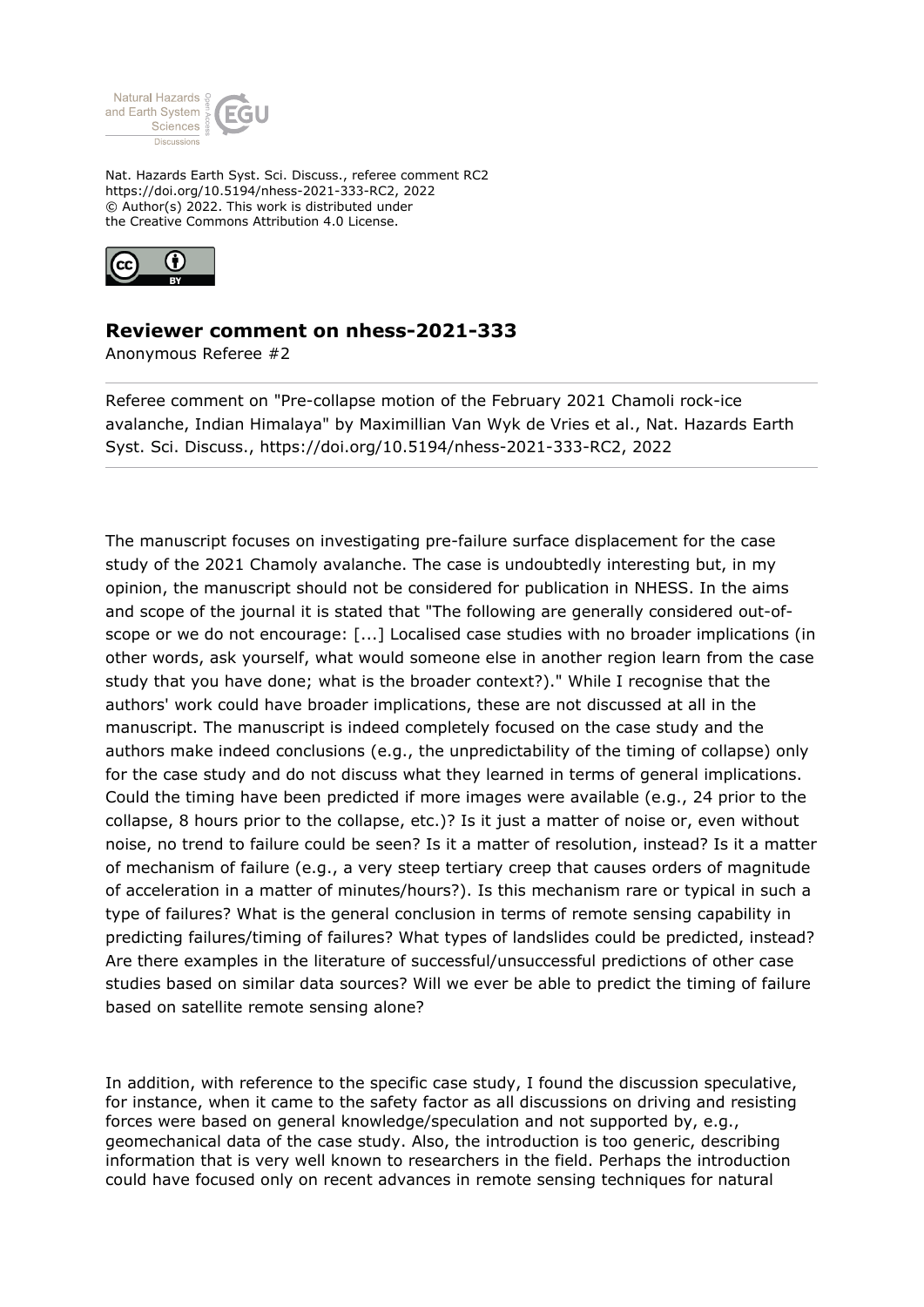

Nat. Hazards Earth Syst. Sci. Discuss., referee comment RC2 https://doi.org/10.5194/nhess-2021-333-RC2, 2022 © Author(s) 2022. This work is distributed under the Creative Commons Attribution 4.0 License.



## **Reviewer comment on nhess-2021-333**

Anonymous Referee #2

Referee comment on "Pre-collapse motion of the February 2021 Chamoli rock-ice avalanche, Indian Himalaya" by Maximillian Van Wyk de Vries et al., Nat. Hazards Earth Syst. Sci. Discuss., https://doi.org/10.5194/nhess-2021-333-RC2, 2022

The manuscript focuses on investigating pre-failure surface displacement for the case study of the 2021 Chamoly avalanche. The case is undoubtedly interesting but, in my opinion, the manuscript should not be considered for publication in NHESS. In the aims and scope of the journal it is stated that "The following are generally considered out-ofscope or we do not encourage: [...] Localised case studies with no broader implications (in other words, ask yourself, what would someone else in another region learn from the case study that you have done; what is the broader context?)." While I recognise that the authors' work could have broader implications, these are not discussed at all in the manuscript. The manuscript is indeed completely focused on the case study and the authors make indeed conclusions (e.g., the unpredictability of the timing of collapse) only for the case study and do not discuss what they learned in terms of general implications. Could the timing have been predicted if more images were available (e.g., 24 prior to the collapse, 8 hours prior to the collapse, etc.)? Is it just a matter of noise or, even without noise, no trend to failure could be seen? Is it a matter of resolution, instead? Is it a matter of mechanism of failure (e.g., a very steep tertiary creep that causes orders of magnitude of acceleration in a matter of minutes/hours?). Is this mechanism rare or typical in such a type of failures? What is the general conclusion in terms of remote sensing capability in predicting failures/timing of failures? What types of landslides could be predicted, instead? Are there examples in the literature of successful/unsuccessful predictions of other case studies based on similar data sources? Will we ever be able to predict the timing of failure based on satellite remote sensing alone?

In addition, with reference to the specific case study, I found the discussion speculative, for instance, when it came to the safety factor as all discussions on driving and resisting forces were based on general knowledge/speculation and not supported by, e.g., geomechanical data of the case study. Also, the introduction is too generic, describing information that is very well known to researchers in the field. Perhaps the introduction could have focused only on recent advances in remote sensing techniques for natural